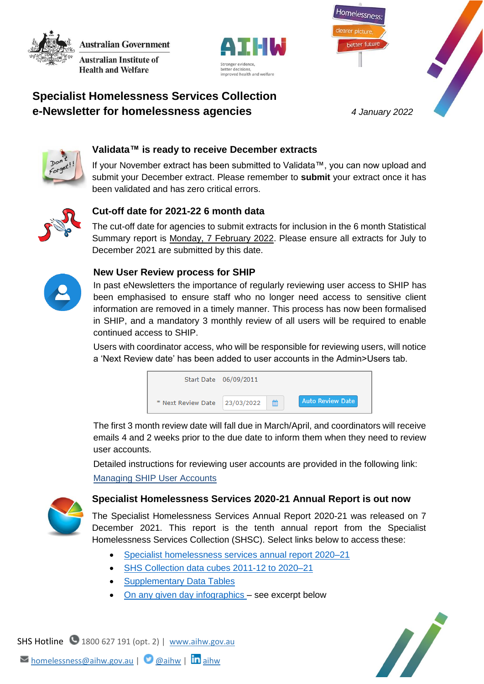**Australian Government Australian Institute of Health and Welfare** 



better future

Homelessness

# **Specialist Homelessness Services Collection e-Newsletter for homelessness agencies** *4 January 2022*



# **Validata™ is ready to receive December extracts**

If your November extract has been submitted to Validata™, you can now upload and submit your December extract. Please remember to **submit** your extract once it has been validated and has zero critical errors.



# **Cut-off date for 2021-22 6 month data**

The cut-off date for agencies to submit extracts for inclusion in the 6 month Statistical Summary report is Monday, 7 February 2022. Please ensure all extracts for July to December 2021 are submitted by this date.



#### **New User Review process for SHIP**

In past eNewsletters the importance of regularly reviewing user access to SHIP has been emphasised to ensure staff who no longer need access to sensitive client information are removed in a timely manner. This process has now been formalised in SHIP, and a mandatory 3 monthly review of all users will be required to enable continued access to SHIP.

Users with coordinator access, who will be responsible for reviewing users, will notice a 'Next Review date' has been added to user accounts in the Admin>Users tab.



The first 3 month review date will fall due in March/April, and coordinators will receive emails 4 and 2 weeks prior to the due date to inform them when they need to review user accounts.

Detailed instructions for reviewing user accounts are provided in the following link: [Managing SHIP User Accounts](https://www.aihw.gov.au/getmedia/de56979b-d9d2-4944-a5a7-d702c1c264be/Managing-User-Accounts.pdf.aspx)



### **Specialist Homelessness Services 2020-21 Annual Report is out now**

The Specialist Homelessness Services Annual Report 2020-21 was released on 7 December 2021. This report is the tenth annual report from the Specialist Homelessness Services Collection (SHSC). Select links below to access these:

- [Specialist homelessness services annual report 2020–21](https://www.aihw.gov.au/reports/homelessness-services/specialist-homelessness-services-annual-report/contents/summary)
- [SHS Collection data cubes 2011-12 to 2020–21](https://www.aihw.gov.au/reports/homelessness-services/shsc-data-cubes/contents/specialist-homelessness-services-collection-shsc-data-cubes)
- [Supplementary Data Tables](https://www.aihw.gov.au/reports/homelessness-services/specialist-homelessness-services-annual-report/data)
- [On any given day infographics](https://www.aihw.gov.au/reports/homelessness-services/specialist-homelessness-services-annual-report/on-any-given-day-infographics) see excerpt below



SHS Hotline 1800 627 191 (opt. 2) | [www.aihw.gov.au](http://www.aihw.gov.au/)